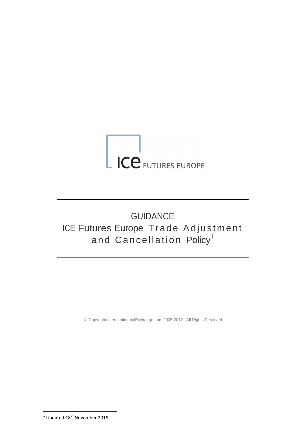# ICE FUTURES EUROPE

# GUIDANCE ICE Futures Europe Trade Adjustment and Cancellation Policy<sup>1</sup>

© Copyright IntercontinentalExchange, Inc. 2005-2012. All Rights Reserved.

-<br><sup>1</sup> Updated 18<sup>th</sup> November 2019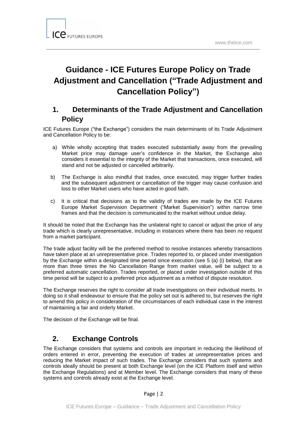# **Guidance - ICE Futures Europe Policy on Trade Adjustment and Cancellation ("Trade Adjustment and Cancellation Policy")**

# **1. Determinants of the Trade Adjustment and Cancellation Policy**

ICE Futures Europe ("the Exchange") considers the main determinants of its Trade Adjustment and Cancellation Policy to be:

- a) While wholly accepting that trades executed substantially away from the prevailing Market price may damage user's confidence in the Market, the Exchange also considers it essential to the integrity of the Market that transactions, once executed, will stand and not be adjusted or cancelled arbitrarily.
- b) The Exchange is also mindful that trades, once executed, may trigger further trades and the subsequent adjustment or cancellation of the trigger may cause confusion and loss to other Market users who have acted in good faith.
- c) It is critical that decisions as to the validity of trades are made by the ICE Futures Europe Market Supervision Department ("Market Supervision") within narrow time frames and that the decision is communicated to the market without undue delay.

It should be noted that the Exchange has the unilateral right to cancel or adjust the price of any trade which is clearly unrepresentative, including in instances where there has been no request from a market participant.

The trade adjust facility will be the preferred method to resolve instances whereby transactions have taken place at an unrepresentative price. Trades reported to, or placed under investigation by the Exchange within a designated time period since execution (see 5 (a) (i) below), that are more than three times the No Cancellation Range from market value, will be subject to a preferred automatic cancellation. Trades reported, or placed under investigation outside of this time period will be subject to a preferred price adjustment as a method of dispute resolution.

The Exchange reserves the right to consider all trade investigations on their individual merits. In doing so it shall endeavour to ensure that the policy set out is adhered to, but reserves the right to amend this policy in consideration of the circumstances of each individual case in the interest of maintaining a fair and orderly Market.

The decision of the Exchange will be final.

# **2. Exchange Controls**

The Exchange considers that systems and controls are important in reducing the likelihood of orders entered in error, preventing the execution of trades at unrepresentative prices and reducing the Market impact of such trades. The Exchange considers that such systems and controls ideally should be present at both Exchange level (on the ICE Platform itself and within the Exchange Regulations) and at Member level. The Exchange considers that many of these systems and controls already exist at the Exchange level.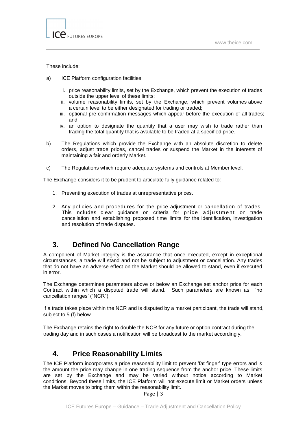### These include:

- a) ICE Platform configuration facilities:
	- i. price reasonability limits, set by the Exchange, which prevent the execution of trades outside the upper level of these limits;
	- ii. volume reasonability limits, set by the Exchange, which prevent volumes above a certain level to be either designated for trading or traded;
	- iii. optional pre-confirmation messages which appear before the execution of all trades; and
	- iv. an option to designate the quantity that a user may wish to trade rather than trading the total quantity that is available to be traded at a specified price.
- b) The Regulations which provide the Exchange with an absolute discretion to delete orders, adjust trade prices, cancel trades or suspend the Market in the interests of maintaining a fair and orderly Market.
- c) The Regulations which require adequate systems and controls at Member level.

The Exchange considers it to be prudent to articulate fully guidance related to:

- 1. Preventing execution of trades at unrepresentative prices.
- 2. Any policies and procedures for the price adjustment or cancellation of trades. This includes clear quidance on criteria for price adjustment or trade cancellation and establishing proposed time limits for the identification, investigation and resolution of trade disputes.

# **3. Defined No Cancellation Range**

A component of Market integrity is the assurance that once executed, except in exceptional circumstances, a trade will stand and not be subject to adjustment or cancellation. Any trades that do not have an adverse effect on the Market should be allowed to stand, even if executed in error.

The Exchange determines parameters above or below an Exchange set anchor price for each Contract within which a disputed trade will stand. Such parameters are known as 'no cancellation ranges' ("NCR")

If a trade takes place within the NCR and is disputed by a market participant, the trade will stand, subject to 5 (f) below.

The Exchange retains the right to double the NCR for any future or option contract during the trading day and in such cases a notification will be broadcast to the market accordingly.

# **4. Price Reasonability Limits**

The ICE Platform incorporates a price reasonability limit to prevent 'fat finger' type errors and is the amount the price may change in one trading sequence from the anchor price. These limits are set by the Exchange and may be varied without notice according to Market conditions. Beyond these limits, the ICE Platform will not execute limit or Market orders unless the Market moves to bring them within the reasonability limit.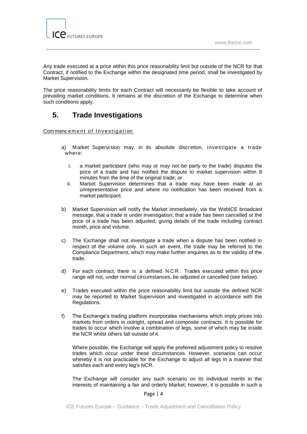

Any trade executed at a price within this price reasonability limit but outside of the NCR for that Contract, if notified to the Exchange within the designated time period, shall be investigated by Market Supervision.

The price reasonability limits for each Contract will necessarily be flexible to take account of prevailing market conditions. It remains at the discretion of the Exchange to determine when such conditions apply.

# **5. Trade Investigations**

Commencement of Investigation

- a) Market Supervision may, in its absolute discretion, investigate a trade where:
	- i. a market participant (who may or may not be party to the trade) disputes the price of a trade and has notified the dispute to market supervision within 8 minutes from the time of the original trade; or
	- ii. Market Supervision determines that a trade may have been made at an unrepresentative price and where no notification has been received from a market participant.
- b) Market Supervision will notify the Market immediately, via the WebICE broadcast message, that a trade is under investigation; that a trade has been cancelled or the price of a trade has been adjusted, giving details of the trade including contract month, price and volume.
- c) The Exchange shall not investigate a trade when a dispute has been notified in respect of the volume only. In such an event, the trade may be referred to the Compliance Department, which may make further enquiries as to the validity of the trade.
- d) For each contract, there is a defined N C R . Trades executed within this price range will not, under normal circumstances, be adjusted or cancelled (see below).
- e) Trades executed within the price reasonability limit but outside the defined NCR may be reported to Market Supervision and investigated in accordance with the Regulations.
- f) The Exchange's trading platform incorporates mechanisms which imply prices into markets from orders in outright, spread and composite contracts. It is possible for trades to occur which involve a combination of legs, some of which may be inside the NCR whilst others fall outside of it.

Where possible, the Exchange will apply the preferred adjustment policy to resolve trades which occur under these circumstances. However, scenarios can occur whereby it is not practicable for the Exchange to adjust all legs in a manner that satisfies each and every leg's NCR.

The Exchange will consider any such scenario on its individual merits in the interests of maintaining a fair and orderly Market; however, it is possible in such a

### Page | 4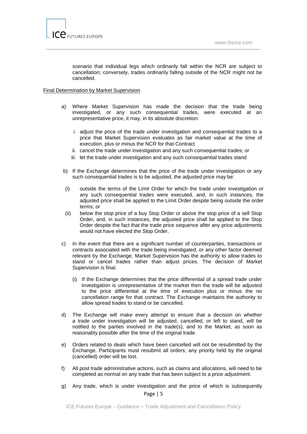

scenario that individual legs which ordinarily fall within the NCR are subject to cancellation; conversely, trades ordinarily falling outside of the NCR might not be cancelled.

### Final Determination by Market Supervision

- a) Where Market Supervision has made the decision that the trade being investigated, or any such consequential trades, were executed at an unrepresentative price, it may, in its absolute discretion:
	- i. adjust the price of the trade under investigation and consequential trades to a price that Market Supervision evaluates as fair market value at the time of execution, plus or minus the NCR for that Contract
	- ii. cancel the trade under investigation and any such consequential trades; or
	- iii. let the trade under investigation and any such consequential trades stand
- b) If the Exchange determines that the price of the trade under investigation or any such consequential trades is to be adjusted, the adjusted price may be:
- (i) outside the terms of the Limit Order for which the trade under investigation or any such consequential trades were executed, and, in such instances, the adjusted price shall be applied to the Limit Order despite being outside the order terms; or
- (ii) below the stop price of a buy Stop Order or above the stop price of a sell Stop Order, and, in such instances, the adjusted price shall be applied to the Stop Order despite the fact that the trade price sequence after any price adjustments would not have elected the Stop Order.
- c) In the event that there are a significant number of counterparties, transactions or contracts associated with the trade being investigated, or any other factor deemed relevant by the Exchange, Market Supervision has the authority to allow trades to stand or cancel trades rather than adjust prices. The decision of Market Supervision is final.
	- (i) If the Exchange determines that the price differential of a spread trade under investigation is unrepresentative of the market then the trade will be adjusted to the price differential at the time of execution plus or minus the no cancellation range for that contract. The Exchange maintains the authority to allow spread trades to stand or be cancelled.
- d) The Exchange will make every attempt to ensure that a decision on whether a trade under investigation will be adjusted, cancelled, or left to stand, will be notified to the parties involved in the trade(s), and to the Market, as soon as reasonably possible after the time of the original trade.
- e) Orders related to deals which have been cancelled will not be resubmitted by the Exchange. Participants must resubmit all orders; any priority held by the original (cancelled) order will be lost.
- f) All post trade administrative actions, such as claims and allocations, will need to be completed as normal on any trade that has been subject to a price adjustment.
- Page | 5 g) Any trade, which is under investigation and the price of which is subsequently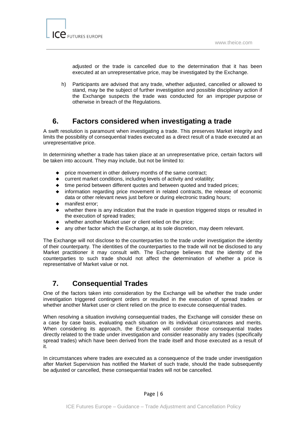

adjusted or the trade is cancelled due to the determination that it has been executed at an unrepresentative price, may be investigated by the Exchange.

h) Participants are advised that any trade, whether adjusted, cancelled or allowed to stand, may be the subject of further investigation and possible disciplinary action if the Exchange suspects the trade was conducted for an improper purpose or otherwise in breach of the Regulations.

# **6. Factors considered when investigating a trade**

A swift resolution is paramount when investigating a trade. This preserves Market integrity and limits the possibility of consequential trades executed as a direct result of a trade executed at an unrepresentative price.

In determining whether a trade has taken place at an unrepresentative price, certain factors will be taken into account. They may include, but not be limited to:

- ♦ price movement in other delivery months of the same contract;
- ♦ current market conditions, including levels of activity and volatility;
- time period between different quotes and between quoted and traded prices;
- ♦ information regarding price movement in related contracts, the release of economic data or other relevant news just before or during electronic trading hours;
- ♦ manifest error;
- ♦ whether there is any indication that the trade in question triggered stops or resulted in the execution of spread trades;
- ♦ whether another Market user or client relied on the price;
- any other factor which the Exchange, at its sole discretion, may deem relevant.

The Exchange will not disclose to the counterparties to the trade under investigation the identity of their counterparty. The identities of the counterparties to the trade will not be disclosed to any Market practitioner it may consult with. The Exchange believes that the identity of the counterparties to such trade should not affect the determination of whether a price is representative of Market value or not.

# **7. Consequential Trades**

One of the factors taken into consideration by the Exchange will be whether the trade under investigation triggered contingent orders or resulted in the execution of spread trades or whether another Market user or client relied on the price to execute consequential trades.

When resolving a situation involving consequential trades, the Exchange will consider these on a case by case basis, evaluating each situation on its individual circumstances and merits. When considering its approach, the Exchange will consider those consequential trades directly related to the trade under investigation and consider reasonably any trades (specifically spread trades) which have been derived from the trade itself and those executed as a result of it.

In circumstances where trades are executed as a consequence of the trade under investigation after Market Supervision has notified the Market of such trade, should the trade subsequently be adjusted or cancelled, these consequential trades will not be cancelled.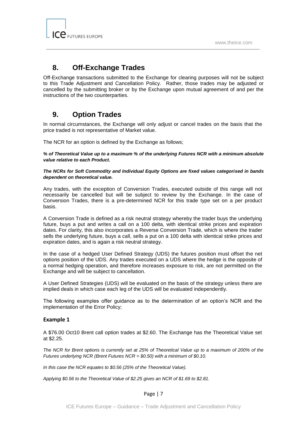

# **8. Off-Exchange Trades**

Off-Exchange transactions submitted to the Exchange for clearing purposes will not be subject to this Trade Adjustment and Cancellation Policy. Rather, those trades may be adjusted or cancelled by the submitting broker or by the Exchange upon mutual agreement of and per the instructions of the two counterparties.

# **9. Option Trades**

In normal circumstances, the Exchange will only adjust or cancel trades on the basis that the price traded is not representative of Market value.

The NCR for an option is defined by the Exchange as follows;

*% of Theoretical Value up to a maximum % of the underlying Futures NCR with a minimum absolute value relative to each Product.*

*The NCRs for Soft Commodity and Individual Equity Options are fixed values categorised in bands dependent on theoretical value.*

Any trades, with the exception of Conversion Trades, executed outside of this range will not necessarily be cancelled but will be subject to review by the Exchange. In the case of Conversion Trades, there is a pre-determined NCR for this trade type set on a per product basis.

A Conversion Trade is defined as a risk neutral strategy whereby the trader buys the underlying future, buys a put and writes a call on a 100 delta, with identical strike prices and expiration dates. For clarity, this also incorporates a Reverse Conversion Trade, which is where the trader sells the underlying future, buys a call, sells a put on a 100 delta with identical strike prices and expiration dates, and is again a risk neutral strategy.

In the case of a hedged User Defined Strategy (UDS) the futures position must offset the net options position of the UDS. Any trades executed on a UDS where the hedge is the opposite of a normal hedging operation, and therefore increases exposure to risk, are not permitted on the Exchange and will be subject to cancellation.

A User Defined Strategies (UDS) will be evaluated on the basis of the strategy unless there are implied deals in which case each leg of the UDS will be evaluated independently.

The following examples offer guidance as to the determination of an option's NCR and the implementation of the Error Policy;

### **Example 1**

A \$76.00 Oct10 Brent call option trades at \$2.60. The Exchange has the Theoretical Value set at \$2.25.

*The NCR for Brent options is currently set at 25% of Theoretical Value up to a maximum of 200% of the Futures underlying NCR (Brent Futures NCR = \$0.50) with a minimum of \$0.10.*

*In this case the NCR equates to \$0.56 (25% of the Theoretical Value).*

*Applying \$0.56 to the Theoretical Value of \$2.25 gives an NCR of \$1.69 to \$2.81.*

Page | 7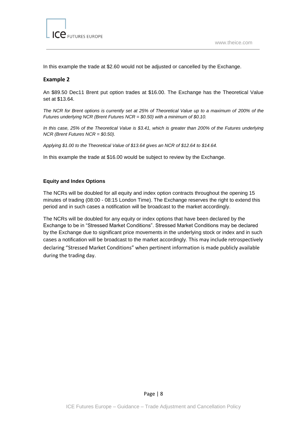

In this example the trade at \$2.60 would not be adjusted or cancelled by the Exchange.

### **Example 2**

An \$89.50 Dec11 Brent put option trades at \$16.00. The Exchange has the Theoretical Value set at \$13.64.

*The NCR for Brent options is currently set at 25% of Theoretical Value up to a maximum of 200% of the Futures underlying NCR (Brent Futures NCR = \$0.50) with a minimum of \$0.10.*

*In this case, 25% of the Theoretical Value is \$3.41, which is greater than 200% of the Futures underlying NCR (Brent Futures NCR = \$0.50).*

*Applying \$1.00 to the Theoretical Value of \$13.64 gives an NCR of \$12.64 to \$14.64.*

In this example the trade at \$16.00 would be subject to review by the Exchange.

### **Equity and Index Options**

The NCRs will be doubled for all equity and index option contracts throughout the opening 15 minutes of trading (08:00 - 08:15 London Time). The Exchange reserves the right to extend this period and in such cases a notification will be broadcast to the market accordingly.

The NCRs will be doubled for any equity or index options that have been declared by the Exchange to be in "Stressed Market Conditions". Stressed Market Conditions may be declared by the Exchange due to significant price movements in the underlying stock or index and in such cases a notification will be broadcast to the market accordingly. This may include retrospectively declaring "Stressed Market Conditions" when pertinent information is made publicly available during the trading day.